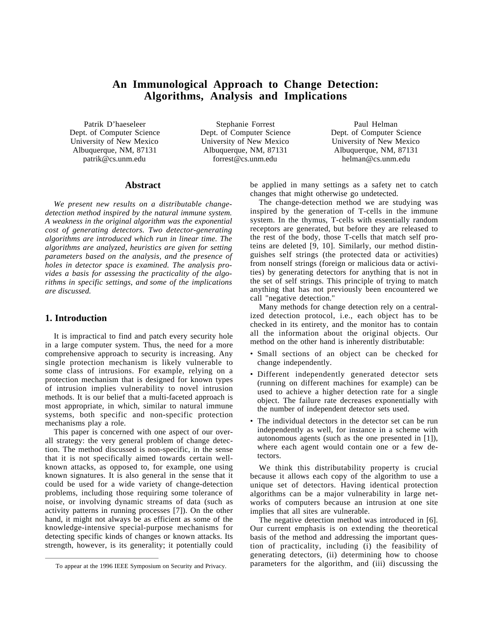# **An Immunological Approach to Change Detection: Algorithms, Analysis and Implications**

Patrik D'haeseleer Dept. of Computer Science University of New Mexico Albuquerque, NM, 87131 patrik@cs.unm.edu

Stephanie Forrest Dept. of Computer Science University of New Mexico Albuquerque, NM, 87131 forrest@cs.unm.edu

Paul Helman Dept. of Computer Science University of New Mexico Albuquerque, NM, 87131 helman@cs.unm.edu

## **Abstract**

*We present new results on a distributable changedetection method inspired by the natural immune system. A weakness in the original algorithm was the exponential cost of generating detectors. Two detector-generating algorithms are introduced which run in linear time. The algorithms are analyzed, heuristics are given for setting parameters based on the analysis, and the presence of holes in detector space is examined. The analysis provides a basis for assessing the practicality of the algorithms in specific settings, and some of the implications are discussed.*

# **1. Introduction**

It is impractical to find and patch every security hole in a large computer system. Thus, the need for a more comprehensive approach to security is increasing. Any single protection mechanism is likely vulnerable to some class of intrusions. For example, relying on a protection mechanism that is designed for known types of intrusion implies vulnerability to novel intrusion methods. It is our belief that a multi-faceted approach is most appropriate, in which, similar to natural immune systems, both specific and non-specific protection mechanisms play a role.

This paper is concerned with one aspect of our overall strategy: the very general problem of change detection. The method discussed is non-specific, in the sense that it is not specifically aimed towards certain wellknown attacks, as opposed to, for example, one using known signatures. It is also general in the sense that it could be used for a wide variety of change-detection problems, including those requiring some tolerance of noise, or involving dynamic streams of data (such as activity patterns in running processes [7]). On the other hand, it might not always be as efficient as some of the knowledge-intensive special-purpose mechanisms for detecting specific kinds of changes or known attacks. Its strength, however, is its generality; it potentially could

be applied in many settings as a safety net to catch changes that might otherwise go undetected.

The change-detection method we are studying was inspired by the generation of T-cells in the immune system. In the thymus, T-cells with essentially random receptors are generated, but before they are released to the rest of the body, those T-cells that match self proteins are deleted [9, 10]. Similarly, our method distinguishes self strings (the protected data or activities) from nonself strings (foreign or malicious data or activities) by generating detectors for anything that is not in the set of self strings. This principle of trying to match anything that has not previously been encountered we call "negative detection."

Many methods for change detection rely on a centralized detection protocol, i.e., each object has to be checked in its entirety, and the monitor has to contain all the information about the original objects. Our method on the other hand is inherently distributable:

- Small sections of an object can be checked for change independently.
- Different independently generated detector sets (running on different machines for example) can be used to achieve a higher detection rate for a single object. The failure rate decreases exponentially with the number of independent detector sets used.
- The individual detectors in the detector set can be run independently as well, for instance in a scheme with autonomous agents (such as the one presented in [1]), where each agent would contain one or a few detectors.

We think this distributability property is crucial because it allows each copy of the algorithm to use a unique set of detectors. Having identical protection algorithms can be a major vulnerability in large networks of computers because an intrusion at one site implies that all sites are vulnerable.

The negative detection method was introduced in [6]. Our current emphasis is on extending the theoretical basis of the method and addressing the important question of practicality, including (i) the feasibility of generating detectors, (ii) determining how to choose parameters for the algorithm, and (iii) discussing the

To appear at the 1996 IEEE Symposium on Security and Privacy.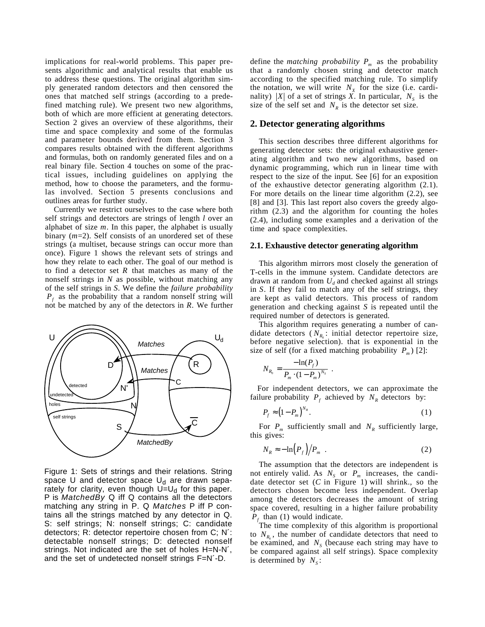implications for real-world problems. This paper presents algorithmic and analytical results that enable us to address these questions. The original algorithm simply generated random detectors and then censored the ones that matched self strings (according to a predefined matching rule). We present two new algorithms, both of which are more efficient at generating detectors. Section 2 gives an overview of these algorithms, their time and space complexity and some of the formulas and parameter bounds derived from them. Section 3 compares results obtained with the different algorithms and formulas, both on randomly generated files and on a real binary file. Section 4 touches on some of the practical issues, including guidelines on applying the method, how to choose the parameters, and the formulas involved. Section 5 presents conclusions and outlines areas for further study.

Currently we restrict ourselves to the case where both self strings and detectors are strings of length *l* over an alphabet of size *m*. In this paper, the alphabet is usually binary (*m*=2). Self consists of an unordered set of these strings (a multiset, because strings can occur more than once). Figure 1 shows the relevant sets of strings and how they relate to each other. The goal of our method is to find a detector set *R* that matches as many of the nonself strings in *N* as possible, without matching any of the self strings in *S*. We define the *failure probability*  $P_f$  as the probability that a random nonself string will not be matched by any of the detectors in *R*. We further



Figure 1: Sets of strings and their relations. String space U and detector space  $U_d$  are drawn separately for clarity, even though  $U=U_d$  for this paper. P is MatchedBy Q iff Q contains all the detectors matching any string in P. Q Matches P iff P contains all the strings matched by any detector in Q. S: self strings; N: nonself strings; C: candidate detectors; R: detector repertoire chosen from C; N´: detectable nonself strings; D: detected nonself strings. Not indicated are the set of holes H=N-N´, and the set of undetected nonself strings F=N´-D.

define the *matching probability P<sup>m</sup>* as the probability that a randomly chosen string and detector match according to the specified matching rule. To simplify the notation, we will write  $N_X$  for the size (i.e. cardinality) |X| of a set of strings *X*. In particular,  $N<sub>S</sub>$  is the size of the self set and  $N_R$  is the detector set size.

## **2. Detector generating algorithms**

This section describes three different algorithms for generating detector sets: the original exhaustive generating algorithm and two new algorithms, based on dynamic programming, which run in linear time with respect to the size of the input. See [6] for an exposition of the exhaustive detector generating algorithm (2.1). For more details on the linear time algorithm (2.2), see [8] and [3]. This last report also covers the greedy algorithm (2.3) and the algorithm for counting the holes (2.4), including some examples and a derivation of the time and space complexities.

#### **2.1. Exhaustive detector generating algorithm**

This algorithm mirrors most closely the generation of T-cells in the immune system. Candidate detectors are drawn at random from  $U_d$  and checked against all strings in *S*. If they fail to match any of the self strings, they are kept as valid detectors. This process of random generation and checking against *S* is repeated until the required number of detectors is generated.

This algorithm requires generating a number of candidate detectors ( $N_{R_0}$ : initial detector repertoire size, before negative selection). that is exponential in the size of self (for a fixed matching probability  $P_m$ ) [2]:

$$
N_{R_0} = \frac{-\ln(P_f)}{P_m \cdot (1 - P_m)^{N_s}}.
$$

For independent detectors, we can approximate the failure probability  $P_f$  achieved by  $N_R$  detectors by:

$$
P_f \approx \left(1 - P_m\right)^{N_R}.\tag{1}
$$

For  $P_m$  sufficiently small and  $N_R$  sufficiently large, this gives:

$$
N_R \approx -\ln\left(P_f\right)/P_m \quad . \tag{2}
$$

The assumption that the detectors are independent is not entirely valid. As  $N<sub>S</sub>$  or  $P<sub>m</sub>$  increases, the candidate detector set (*C* in Figure 1) will shrink., so the detectors chosen become less independent. Overlap among the detectors decreases the amount of string space covered, resulting in a higher failure probability  $P_f$  than (1) would indicate.

The time complexity of this algorithm is proportional to  $N_{R_0}$ , the number of candidate detectors that need to be examined, and  $N<sub>S</sub>$  (because each string may have to be compared against all self strings). Space complexity is determined by  $N<sub>S</sub>$ :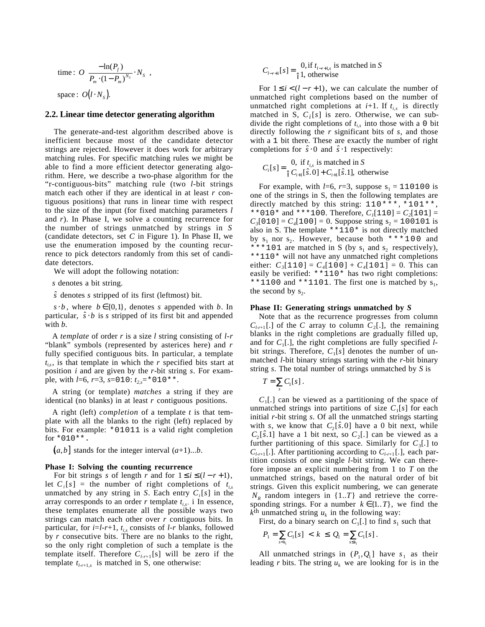time: 
$$
O\left(\frac{-\ln(P_f)}{P_m \cdot (1-P_m)^{N_s}} \cdot N_s\right)
$$

space :  $O(l \cdot N_s)$ .

#### **2.2. Linear time detector generating algorithm**

The generate-and-test algorithm described above is inefficient because most of the candidate detector strings are rejected. However it does work for arbitrary matching rules. For specific matching rules we might be able to find a more efficient detector generating algorithm. Here, we describe a two-phase algorithm for the "r-contiguous-bits" matching rule (two *l*-bit strings match each other if they are identical in at least *r* contiguous positions) that runs in linear time with respect to the size of the input (for fixed matching parameters *l* and *r*). In Phase I, we solve a counting recurrence for the number of strings unmatched by strings in *S* (candidate detectors, set *C* in Figure 1). In Phase II, we use the enumeration imposed by the counting recurrence to pick detectors randomly from this set of candidate detectors.

We will adopt the following notation:

*s* denotes a bit string.

*s*ˆ denotes *s* stripped of its first (leftmost) bit.

 $s \cdot b$ , where  $b \in \{0,1\}$ , denotes *s* appended with *b*. In particular,  $\hat{s} \cdot b$  is *s* stripped of its first bit and appended with *b*.

A *template* of order *r* is a size *l* string consisting of *l-r* "blank" symbols (represented by asterices here) and *r* fully specified contiguous bits. In particular, a template  $t_{i,s}$ , is that template in which the *r* specified bits start at position *i* and are given by the *r*-bit string *s*. For example, with  $l=6$ ,  $r=3$ ,  $s=010$ :  $t_{2s}=100*$ .

A string (or template) *matches* a string if they are identical (no blanks) in at least *r* contiguous positions.

A right (left) *completion* of a template *t* is that template with all the blanks to the right (left) replaced by bits. For example: \*01011 is a valid right completion for \*010\*\*.

 $(a,b]$  stands for the integer interval  $(a+1)...b$ .

#### **Phase I: Solving the counting recurrence**

For bit strings *s* of length *r* and for  $1 \le i \le (l - r + 1)$ , let  $C_i[s] =$  the number of right completions of  $t_{i,s}$ unmatched by any string in *S*. Each entry  $C_i[s]$  in the array corresponds to an order  $r$  template  $t_{i,s}$ , i In essence, these templates enumerate all the possible ways two strings can match each other over *r* contiguous bits. In particular, for  $i=l-r+1$ ,  $t_i$ , consists of  $l-r$  blanks, followed by *r* consecutive bits. There are no blanks to the right, so the only right completion of such a template is the template itself. Therefore  $C_{l-r+1}[s]$  will be zero if the template  $t_{l-r+1,s}$  is matched in S, one otherwise:

$$
C_{l-r+1}[s] = \begin{cases} 0, & \text{if } t_{l-r+1,s} \text{ is matched in } S \\ 1, & \text{otherwise} \end{cases}
$$

For  $1 \le i \le (l - r + 1)$ , we can calculate the number of unmatched right completions based on the number of unmatched right completions at  $i+1$ . If  $t_i$ , is directly matched in S,  $C_i[s]$  is zero. Otherwise, we can subdivide the right completions of  $t_{i,s}$  into those with a 0 bit directly following the *r* significant bits of *s*, and those with a 1 bit there. These are exactly the number of right completions for  $\hat{s} \cdot 0$  and  $\hat{s} \cdot 1$  respectively:

 $C_i[s] = \begin{cases} 0, & \text{if } t_{i,s} \text{ is matched in } S \\ C_i \text{ and } C_i \text{ is 0} \\ C_i \text{ is 0} \end{cases}$  $C_{i+1}[\hat{s}.0] + C_{i+1}[\hat{s}.1]$ , otherwise  $\left\{ \right.$ 

For example, with  $l=6$ ,  $r=3$ , suppose  $s_1 = 110100$  is one of the strings in S, then the following templates are directly matched by this string:  $110***$ ,  $*101**$ , \*\*010\* and \*\*\*100. Therefore,  $C_I[110] = C_2[101] =$  $C_3[010] = C_4[100] = 0$ . Suppose string  $s_2 = 100101$  is also in S. The template \*\*110\* is not directly matched by  $s_1$  nor  $s_2$ . However, because both \*\*\*100 and \*\*\*101 are matched in S (by  $s_1$  and  $s_2$  respectively), \*\*110\* will not have any unmatched right completions either:  $C_3[110] = C_4[100] + C_4[101] = 0$ . This can easily be verified: \*\*110\* has two right completions: \*\*1100 and \*\*1101. The first one is matched by  $s_1$ , the second by  $s_2$ .

#### **Phase II: Generating strings unmatched by** *S*

Note that as the recurrence progresses from column  $C_{l-r+1}$ [.] of the *C* array to column  $C_2$ [.], the remaining blanks in the right completions are gradually filled up, and for *C*<sup>1</sup> [.], the right completions are fully specified *l*bit strings. Therefore,  $C_1[s]$  denotes the number of unmatched *l*-bit binary strings starting with the *r*-bit binary string *s*. The total number of strings unmatched by *S* is

$$
T=\sum_{s}C_{1}[s].
$$

 $C_1$ [.] can be viewed as a partitioning of the space of unmatched strings into partitions of size  $C_1[s]$  for each initial *r*-bit string *s*. Of all the unmatched strings starting with *s*, we know that  $C_2[\hat{s}.0]$  have a 0 bit next, while  $C_2$ [ $\hat{s}$ .1] have a 1 bit next, so  $C_2$ [.] can be viewed as a further partitioning of this space. Similarly for  $C_3$ [.] to  $C_{l-r+1}$ [*.*]. After partitioning according to  $C_{l-r+1}$ [*.*], each partition consists of one single *l*-bit string. We can therefore impose an explicit numbering from 1 to *T* on the unmatched strings, based on the natural order of bit strings. Given this explicit numbering, we can generate  $N_R$  random integers in  $\{1..T\}$  and retrieve the corresponding strings. For a number  $k \in \{1..T\}$ , we find the  $k^{\text{th}}$  unmatched string  $u_k$  in the following way:

First, do a binary search on  $C_1$ [.] to find  $s_1$  such that

$$
P_1 = \sum_{s < s_1} C_1[s] < k \leq Q_1 = \sum_{s \leq s_1} C_1[s] \, .
$$

All unmatched strings in  $(P_1, Q_1)$  have  $s_1$  as their leading *r* bits. The string  $u_k$  we are looking for is in the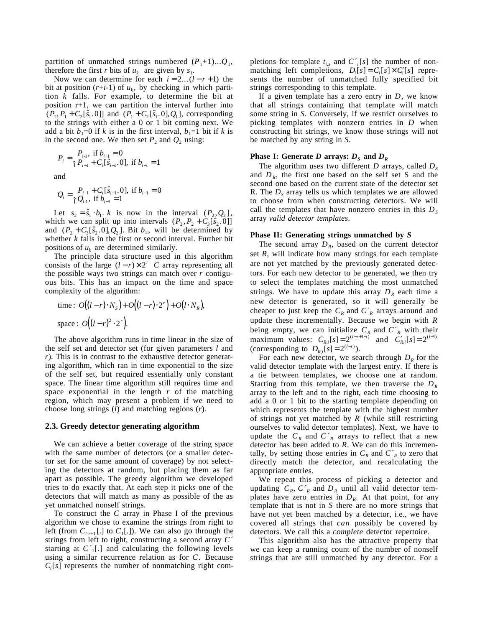partition of unmatched strings numbered  $(P_1+1)...Q_1$ , therefore the first *r* bits of  $u_k$  are given by  $s_1$ .

Now we can determine for each  $i = 2...(l - r + 1)$  the bit at position  $(r+i-1)$  of  $u_k$ , by checking in which partition *k* falls. For example, to determine the bit at position r+1, we can partition the interval further into  $(P_1, P_1 + C_2[\hat{s}_1, 0]]$  and  $(P_1 + C_2[\hat{s}_1, 0], Q_1]$ , corresponding to the strings with either a 0 or 1 bit coming next. We add a bit  $b_1=0$  if k is in the first interval,  $b_1=1$  bit if k is in the second one. We then set  $P_2$  and  $Q_2$  using:

and

 $\left\{ \right.$ 

$$
Q_i = \begin{cases} P_{i-1} + C_i[\hat{S}_{i-1}, 0], & \text{if } b_{i-1} = 0\\ Q_{i-1}, & \text{if } b_{i-1} = 1 \end{cases}
$$

 $P_{i-1} + C_i$  [ $\hat{s}_{i-1}$ .0], if  $b_{i-1} = 1$ 

 $P_i = \begin{cases} P_{i-1}, & \text{if } b_{i-1} = 0 \\ P_{i-1} + C_{i-1} & \text{if } 0 \end{cases}$ 

Let  $s_2 = \hat{s}_1 \cdot b_1$ , *k* is now in the interval  $(P_2, Q_2)$ , which we can split up into intervals  $(P_2, P_2 + C_3[\hat{s}_2, 0])$ and  $(P_2 + C_3[\hat{s}_2, 0], Q_2]$ . Bit  $b_2$ , will be determined by whether *k* falls in the first or second interval. Further bit positions of  $u_k$  are determined similarly.

The principle data structure used in this algorithm consists of the large  $(l - r) \times 2^r$  *C* array representing all the possible ways two strings can match over  $r$  contiguous bits. This has an impact on the time and space complexity of the algorithm:

time: 
$$
O((l-r) \cdot N_s) + O((l-r) \cdot 2^r) + O(l \cdot N_R)
$$
,  
space:  $O((l-r)^2 \cdot 2^r)$ .

The above algorithm runs in time linear in the size of the self set and detector set (for given parameters *l* and *r*). This is in contrast to the exhaustive detector generating algorithm, which ran in time exponential to the size of the self set, but required essentially only constant space. The linear time algorithm still requires time and space exponential in the length *r* of the matching region, which may present a problem if we need to choose long strings (*l*) and matching regions (*r*).

#### **2.3. Greedy detector generating algorithm**

We can achieve a better coverage of the string space with the same number of detectors (or a smaller detector set for the same amount of coverage) by not selecting the detectors at random, but placing them as far apart as possible. The greedy algorithm we developed tries to do exactly that. At each step it picks one of the detectors that will match as many as possible of the as yet unmatched nonself strings.

To construct the *C* array in Phase I of the previous algorithm we chose to examine the strings from right to left (from  $C_{l-r+1}$ [.] to  $C_1$ [.]). We can also go through the strings from left to right, constructing a second array *C´* starting at  $C<sub>1</sub>[.]$  and calculating the following levels using a similar recurrence relation as for *C*. Because  $C<sub>i</sub>[s]$  represents the number of nonmatching right com-

pletions for template  $t_{i,s}$  and  $C^{'}_{i}[s]$  the number of nonmatching left completions,  $D_i[s] = C_i[s] \times C'_i[s]$  represents the number of unmatched fully specified bit strings corresponding to this template.

If a given template has a zero entry in *D*, we know that all strings containing that template will match some string in *S*. Conversely, if we restrict ourselves to picking templates with nonzero entries in *D* when constructing bit strings, we know those strings will not be matched by any string in *S*.

## **Phase I:** Generate  $D$  arrays:  $D_{\scriptscriptstyle S}$  and  $D_{\scriptscriptstyle R}$

The algorithm uses two different *D* arrays, called  $D<sub>S</sub>$ and  $D_R$ , the first one based on the self set S and the second one based on the current state of the detector set R. The *D<sup>S</sup>* array tells us which templates we are allowed to choose from when constructing detectors. We will call the templates that have nonzero entries in this  $D<sub>S</sub>$ array *valid detector templates*.

#### **Phase II: Generating strings unmatched by** *S*

The second array  $D_R$ , based on the current detector set *R*, will indicate how many strings for each template are not yet matched by the previously generated detectors. For each new detector to be generated, we then try to select the templates matching the most unmatched strings. We have to update this array  $D_R$  each time a new detector is generated, so it will generally be cheaper to just keep the  $C_R$  and  $C_R$ <sup>*R*</sup> arrays around and update these incrementally. Because we begin with *R* being empty, we can initialize  $C_R$  and  $C_R$  with their maximum values:  $C_{R,i}[s] = 2^{(i-r+1-i)}$  and  $C'_{R,i}[s] = 2^{(i-1)}$ (corresponding to  $D_{R,i}[s] = 2^{(l-r)}$ ).

For each new detector, we search through  $D_R$  for the valid detector template with the largest entry. If there is a tie between templates, we choose one at random. Starting from this template, we then traverse the *D<sup>R</sup>* array to the left and to the right, each time choosing to add a 0 or 1 bit to the starting template depending on which represents the template with the highest number of strings not yet matched by *R* (while still restricting ourselves to valid detector templates). Next, we have to update the  $C_R$  and  $C_R$ <sup>*R*</sup> arrays to reflect that a new detector has been added to *R*. We can do this incrementally, by setting those entries in  $C_R$  and  $C_R$  to zero that directly match the detector, and recalculating the appropriate entries.

We repeat this process of picking a detector and updating  $C_R$ ,  $C_R$  and  $D_R$  until all valid detector templates have zero entries in  $D_R$ . At that point, for any template that is not in *S* there are no more strings that have not yet been matched by a detector, i.e., we have covered all strings that *can* possibly be covered by detectors. We call this a *complete* detector repertoire.

This algorithm also has the attractive property that we can keep a running count of the number of nonself strings that are still unmatched by any detector. For a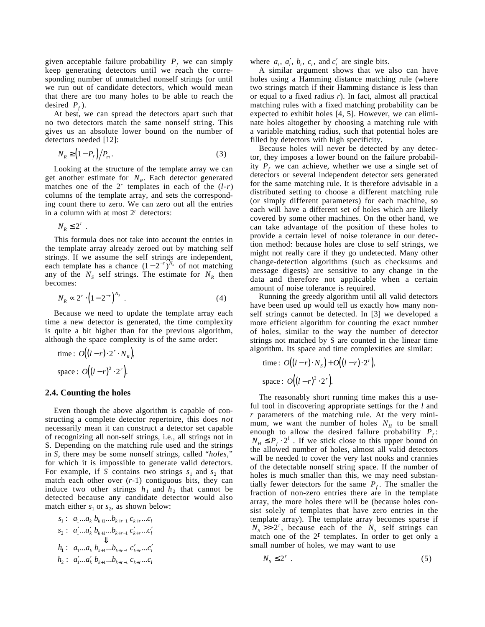given acceptable failure probability  $P_f$  we can simply keep generating detectors until we reach the corresponding number of unmatched nonself strings (or until we run out of candidate detectors, which would mean that there are too many holes to be able to reach the desired  $P_f$ ).

At best, we can spread the detectors apart such that no two detectors match the same nonself string. This gives us an absolute lower bound on the number of detectors needed [12]:

$$
N_R \ge \left(1 - P_f\right) \bigg/ P_m \,. \tag{3}
$$

Looking at the structure of the template array we can get another estimate for *N<sup>R</sup>* . Each detector generated matches one of the  $2<sup>r</sup>$  templates in each of the  $(l-r)$ columns of the template array, and sets the corresponding count there to zero. We can zero out all the entries in a column with at most  $2<sup>r</sup>$  detectors:

 $N_R \leq 2^r$ .

This formula does not take into account the entries in the template array already zeroed out by matching self strings. If we assume the self strings are independent, each template has a chance  $(1 - 2^{-r})^{N_s}$  of not matching any of the  $N<sub>S</sub>$  self strings. The estimate for  $N<sub>R</sub>$  then becomes:

$$
N_R \propto 2^r \cdot \left(1 - 2^{-r}\right)^{N_S} \tag{4}
$$

Because we need to update the template array each time a new detector is generated, the time complexity is quite a bit higher than for the previous algorithm, although the space complexity is of the same order:

time: 
$$
O((l-r) \cdot 2^r \cdot N_R)
$$
,  
space:  $O((l-r)^2 \cdot 2^r)$ .

## **2.4. Counting the holes**

Even though the above algorithm is capable of constructing a complete detector repertoire, this does *not* necessarily mean it can construct a detector set capable of recognizing all non-self strings, i.e., all strings not in S. Depending on the matching rule used and the strings in *S*, there may be some nonself strings, called "*holes,*" for which it is impossible to generate valid detectors. For example, if *S* contains two strings  $s_1$  and  $s_2$  that match each other over  $(r-1)$  contiguous bits, they can induce two other strings  $h_1$  and  $h_2$  that cannot be detected because any candidate detector would also match either  $s_1$  or  $s_2$ , as shown below:

$$
s_1: a_1...a_k b_{k+1}...b_{k+r-1} c_{k+r}...c_l
$$
  
\n
$$
s_2: a'_1...a'_k b_{k+1}...b_{k+r-1} c'_{k+r}...c'_l
$$
  
\n
$$
h_1: a_1...a_k b_{k+1}...b_{k+r-1} c'_{k+r}...c'_l
$$
  
\n
$$
h_2: a'_1...a'_k b_{k+1}...b_{k+r-1} c_{k+r}...c_l
$$

where  $a_i$ ,  $a'_i$ ,  $b_i$ ,  $c_i$ , and  $c'_i$  are single bits.

A similar argument shows that we also can have holes using a Hamming distance matching rule (where two strings match if their Hamming distance is less than or equal to a fixed radius *r*). In fact, almost all practical matching rules with a fixed matching probability can be expected to exhibit holes [4, 5]. However, we can eliminate holes altogether by choosing a matching rule with a variable matching radius, such that potential holes are filled by detectors with high specificity.

Because holes will never be detected by any detector, they imposes a lower bound on the failure probability  $P_f$  we can achieve, whether we use a single set of detectors or several independent detector sets generated for the same matching rule. It is therefore advisable in a distributed setting to choose a different matching rule (or simply different parameters) for each machine, so each will have a different set of holes which are likely covered by some other machines. On the other hand, we can take advantage of the position of these holes to provide a certain level of noise tolerance in our detection method: because holes are close to self strings, we might not really care if they go undetected. Many other change-detection algorithms (such as checksums and message digests) are sensitive to any change in the data and therefore not applicable when a certain amount of noise tolerance is required.

Running the greedy algorithm until all valid detectors have been used up would tell us exactly how many nonself strings cannot be detected. In [3] we developed a more efficient algorithm for counting the exact number of holes, similar to the way the number of detector strings not matched by S are counted in the linear time algorithm. Its space and time complexities are similar:

time: 
$$
O((l-r) \cdot N_s) + O((l-r) \cdot 2^r)
$$
,  
space:  $O((l-r)^2 \cdot 2^r)$ .

The reasonably short running time makes this a useful tool in discovering appropriate settings for the *l* and *r* parameters of the matching rule. At the very minimum, we want the number of holes  $N_H$  to be small enough to allow the desired failure probability  $P_f$ :  $N_H \le P_f \cdot 2^l$ . If we stick close to this upper bound on the allowed number of holes, almost all valid detectors will be needed to cover the very last nooks and crannies of the detectable nonself string space. If the number of holes is much smaller than this, we may need substantially fewer detectors for the same  $P_f$ . The smaller the fraction of non-zero entries there are in the template array, the more holes there will be (because holes consist solely of templates that have zero entries in the template array). The template array becomes sparse if  $N_s$  >> 2<sup>*r*</sup>, because each of the  $N_s$  self strings can match one of the  $2^r$  templates. In order to get only a small number of holes, we may want to use

$$
N_s \le 2^r \tag{5}
$$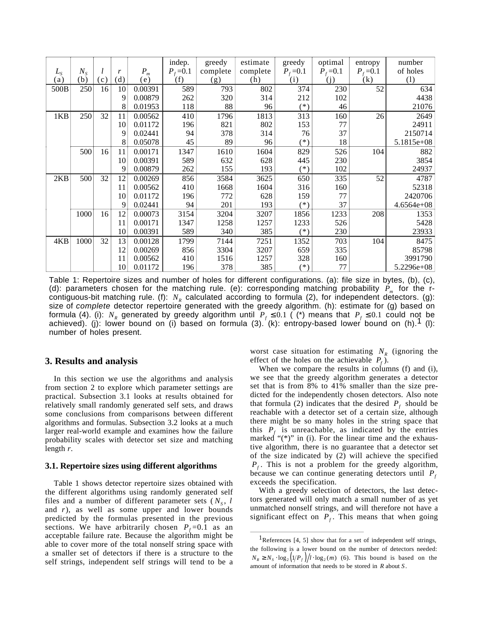|         |             |     |     |         | indep.        | greedy   | estimate | greedy        | optimal       | entropy       | number       |
|---------|-------------|-----|-----|---------|---------------|----------|----------|---------------|---------------|---------------|--------------|
| $L_{S}$ | $N_{\rm s}$ |     | r   | $P_{m}$ | $P_{f} = 0.1$ | complete | complete | $P_{f} = 0.1$ | $P_{f} = 0.1$ | $P_{f} = 0.1$ | of holes     |
| (a)     | (b)         | (c) | (d) | (e)     | (f)           | (g)      | (h)      | (i)           | (i)           | (k)           | (1)          |
| 500B    | 250         | 16  | 10  | 0.00391 | 589           | 793      | 802      | 374           | 230           | 52            | 634          |
|         |             |     | 9   | 0.00879 | 262           | 320      | 314      | 212           | 102           |               | 4438         |
|         |             |     | 8   | 0.01953 | 118           | 88       | 96       | $(*)$         | 46            |               | 21076        |
| 1KB     | 250         | 32  | 11  | 0.00562 | 410           | 1796     | 1813     | 313           | 160           | 26            | 2649         |
|         |             |     | 10  | 0.01172 | 196           | 821      | 802      | 153           | 77            |               | 24911        |
|         |             |     | 9   | 0.02441 | 94            | 378      | 314      | 76            | 37            |               | 2150714      |
|         |             |     | 8   | 0.05078 | 45            | 89       | 96       | $(*)$         | 18            |               | 5.1815e+08   |
|         | 500         | 16  | 11  | 0.00171 | 1347          | 1610     | 1604     | 829           | 526           | 104           | 882          |
|         |             |     | 10  | 0.00391 | 589           | 632      | 628      | 445           | 230           |               | 3854         |
|         |             |     | 9   | 0.00879 | 262           | 155      | 193      | $(*)$         | 102           |               | 24937        |
| 2KB     | 500         | 32  | 12  | 0.00269 | 856           | 3584     | 3625     | 650           | 335           | 52            | 4787         |
|         |             |     | 11  | 0.00562 | 410           | 1668     | 1604     | 316           | 160           |               | 52318        |
|         |             |     | 10  | 0.01172 | 196           | 772      | 628      | 159           | 77            |               | 2420706      |
|         |             |     | 9   | 0.02441 | 94            | 201      | 193      | $(*)$         | 37            |               | $4.6564e+08$ |
|         | 1000        | 16  | 12  | 0.00073 | 3154          | 3204     | 3207     | 1856          | 1233          | 208           | 1353         |
|         |             |     | 11  | 0.00171 | 1347          | 1258     | 1257     | 1233          | 526           |               | 5428         |
|         |             |     | 10  | 0.00391 | 589           | 340      | 385      | $(*)$         | 230           |               | 23933        |
| 4KB     | 1000        | 32  | 13  | 0.00128 | 1799          | 7144     | 7251     | 1352          | 703           | 104           | 8475         |
|         |             |     | 12  | 0.00269 | 856           | 3304     | 3207     | 659           | 335           |               | 85798        |
|         |             |     | 11  | 0.00562 | 410           | 1516     | 1257     | 328           | 160           |               | 3991790      |
|         |             |     | 10  | 0.01172 | 196           | 378      | 385      | $(*)$         | 77            |               | $5.2296e+08$ |

Table 1: Repertoire sizes and number of holes for different configurations. (a): file size in bytes, (b), (c), (d): parameters chosen for the matching rule. (e): corresponding matching probability *P<sup>m</sup>* for the rcontiguous-bit matching rule. (f):  $N_R$  calculated according to formula (2), for independent detectors. (g): size of complete detector repertoire generated with the greedy algorithm. (h): estimate for (g) based on formula (4). (i):  $N_R$  generated by greedy algorithm until  $P_f \le 0.1$  ( $(*)$  means that  $P_f \le 0.1$  could not be achieved). (j): lower bound on (i) based on formula  $(3)$ . (k): entropy-based lower bound on  $(h)$ . (l): number of holes present.

## **3. Results and analysis**

In this section we use the algorithms and analysis from section 2 to explore which parameter settings are practical. Subsection 3.1 looks at results obtained for relatively small randomly generated self sets, and draws some conclusions from comparisons between different algorithms and formulas. Subsection 3.2 looks at a much larger real-world example and examines how the failure probability scales with detector set size and matching length *r*.

#### **3.1. Repertoire sizes using different algorithms**

Table 1 shows detector repertoire sizes obtained with the different algorithms using randomly generated self files and a number of different parameter sets  $(N<sub>S</sub>, l)$ and *r*), as well as some upper and lower bounds predicted by the formulas presented in the previous sections. We have arbitrarily chosen  $P_f$ =0.1 as an acceptable failure rate. Because the algorithm might be able to cover more of the total nonself string space with a smaller set of detectors if there is a structure to the self strings, independent self strings will tend to be a worst case situation for estimating  $N_R$  (ignoring the effect of the holes on the achievable  $P_f$ ).

When we compare the results in columns (f) and (i), we see that the greedy algorithm generates a detector set that is from 8% to 41% smaller than the size predicted for the independently chosen detectors. Also note that formula (2) indicates that the desired  $P_f$  should be reachable with a detector set of a certain size, although there might be so many holes in the string space that this  $P_f$  is unreachable, as indicated by the entries marked " $(*)$ " in (i). For the linear time and the exhaustive algorithm, there is no guarantee that a detector set of the size indicated by (2) will achieve the specified  $P_f$ . This is not a problem for the greedy algorithm, because we can continue generating detectors until  $P_f$ exceeds the specification.

With a greedy selection of detectors, the last detectors generated will only match a small number of as yet unmatched nonself strings, and will therefore not have a significant effect on  $P_f$ . This means that when going

<sup>1</sup>References [4, 5] show that for a set of independent self strings, the following is a lower bound on the number of detectors needed:  $N_R \ge N_S \cdot \log_2(1/P_f)/l \cdot \log_2(m)$  (6). This bound is based on the amount of information that needs to be stored in *R* about *S* .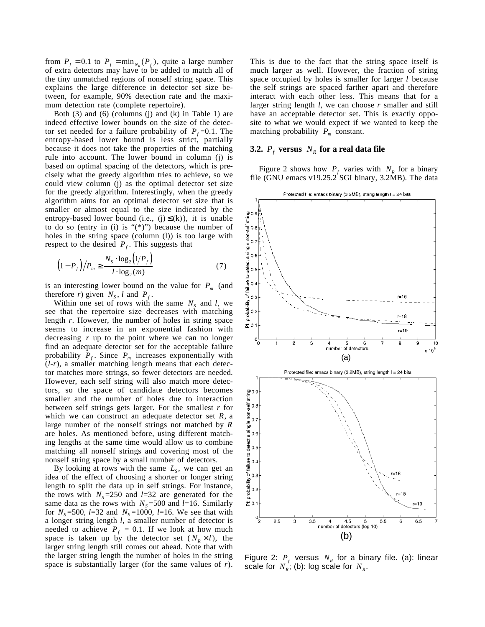from  $P_f = 0.1$  to  $P_f = \min_{N_R}(P_f)$ , quite a large number of extra detectors may have to be added to match all of the tiny unmatched regions of nonself string space. This explains the large difference in detector set size between, for example, 90% detection rate and the maximum detection rate (complete repertoire).

Both (3) and (6) (columns (j) and (k) in Table 1) are indeed effective lower bounds on the size of the detector set needed for a failure probability of  $P_f = 0.1$ . The entropy-based lower bound is less strict, partially because it does not take the properties of the matching rule into account. The lower bound in column (j) is based on optimal spacing of the detectors, which is precisely what the greedy algorithm tries to achieve, so we could view column (j) as the optimal detector set size for the greedy algorithm. Interestingly, when the greedy algorithm aims for an optimal detector set size that is smaller or almost equal to the size indicated by the entropy-based lower bound (i.e.,  $(j) \leq (k)$ ), it is unable to do so (entry in (i) is " $(*)$ ") because the number of holes in the string space (column (l)) is too large with respect to the desired  $P_f$ . This suggests that

$$
\left(1 - P_f\right) / P_m \ge \frac{N_s \cdot \log_2\left(1 / P_f\right)}{l \cdot \log_2(m)}\tag{7}
$$

is an interesting lower bound on the value for  $P_m$  (and therefore *r*) given  $N_s$ , *l* and  $P_f$ .

Within one set of rows with the same  $N<sub>S</sub>$  and *l*, we see that the repertoire size decreases with matching length *r*. However, the number of holes in string space seems to increase in an exponential fashion with decreasing *r* up to the point where we can no longer find an adequate detector set for the acceptable failure probability  $P_f$ . Since  $P_m$  increases exponentially with (*l-r*), a smaller matching length means that each detector matches more strings, so fewer detectors are needed. However, each self string will also match more detectors, so the space of candidate detectors becomes smaller and the number of holes due to interaction between self strings gets larger. For the smallest *r* for which we can construct an adequate detector set *R*, a large number of the nonself strings not matched by *R* are holes. As mentioned before, using different matching lengths at the same time would allow us to combine matching all nonself strings and covering most of the nonself string space by a small number of detectors.

By looking at rows with the same  $L<sub>S</sub>$ , we can get an idea of the effect of choosing a shorter or longer string length to split the data up in self strings. For instance, the rows with  $N_s$ =250 and *l*=32 are generated for the same data as the rows with  $N_s$ =500 and *l*=16. Similarly for  $N_s = 500$ ,  $l = 32$  and  $N_s = 1000$ ,  $l = 16$ . We see that with a longer string length *l*, a smaller number of detector is needed to achieve  $P_f = 0.1$ . If we look at how much space is taken up by the detector set  $(N_R \times l)$ , the larger string length still comes out ahead. Note that with the larger string length the number of holes in the string space is substantially larger (for the same values of *r*). This is due to the fact that the string space itself is much larger as well. However, the fraction of string space occupied by holes is smaller for larger *l* because the self strings are spaced farther apart and therefore interact with each other less. This means that for a larger string length *l*, we can choose *r* smaller and still have an acceptable detector set. This is exactly opposite to what we would expect if we wanted to keep the matching probability  $P_m$  constant.

# **3.2.**  $P_f$  versus  $N_R$  for a real data file

Figure 2 shows how  $P_f$  varies with  $N_R$  for a binary file (GNU emacs v19.25.2 SGI binary, 3.2MB). The data



Figure 2:  $P_f$  versus  $N_R$  for a binary file. (a): linear scale for  $N_R$ ; (b): log scale for  $N_R$ .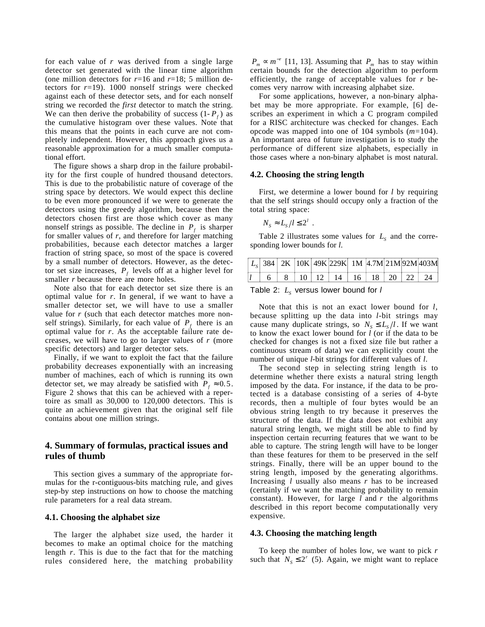for each value of *r* was derived from a single large detector set generated with the linear time algorithm (one million detectors for  $r=16$  and  $r=18$ ; 5 million detectors for *r*=19). 1000 nonself strings were checked against each of these detector sets, and for each nonself string we recorded the *first* detector to match the string. We can then derive the probability of success  $(1 - P_f)$  as the cumulative histogram over these values. Note that this means that the points in each curve are not completely independent. However, this approach gives us a reasonable approximation for a much smaller computational effort.

The figure shows a sharp drop in the failure probability for the first couple of hundred thousand detectors. This is due to the probabilistic nature of coverage of the string space by detectors. We would expect this decline to be even more pronounced if we were to generate the detectors using the greedy algorithm, because then the detectors chosen first are those which cover as many nonself strings as possible. The decline in  $P_f$  is sharper for smaller values of *r*, and therefore for larger matching probabilities, because each detector matches a larger fraction of string space, so most of the space is covered by a small number of detectors. However, as the detector set size increases,  $P_f$  levels off at a higher level for smaller *r* because there are more holes.

Note also that for each detector set size there is an optimal value for *r*. In general, if we want to have a smaller detector set, we will have to use a smaller value for *r* (such that each detector matches more nonself strings). Similarly, for each value of  $P_f$  there is an optimal value for *r*. As the acceptable failure rate decreases, we will have to go to larger values of *r* (more specific detectors) and larger detector sets.

Finally, if we want to exploit the fact that the failure probability decreases exponentially with an increasing number of machines, each of which is running its own detector set, we may already be satisfied with  $P_f \approx 0.5$ . Figure 2 shows that this can be achieved with a repertoire as small as 30,000 to 120,000 detectors. This is quite an achievement given that the original self file contains about one million strings.

# **4. Summary of formulas, practical issues and rules of thumb**

This section gives a summary of the appropriate formulas for the r-contiguous-bits matching rule, and gives step-by step instructions on how to choose the matching rule parameters for a real data stream.

#### **4.1. Choosing the alphabet size**

The larger the alphabet size used, the harder it becomes to make an optimal choice for the matching length *r*. This is due to the fact that for the matching rules considered here, the matching probability

 $P_m \propto m^{-r}$  [11, 13]. Assuming that  $P_m$  has to stay within certain bounds for the detection algorithm to perform efficiently, the range of acceptable values for *r* becomes very narrow with increasing alphabet size.

For some applications, however, a non-binary alphabet may be more appropriate. For example, [6] describes an experiment in which a C program compiled for a RISC architecture was checked for changes. Each opcode was mapped into one of 104 symbols (*m*=104). An important area of future investigation is to study the performance of different size alphabets, especially in those cases where a non-binary alphabet is most natural.

#### **4.2. Choosing the string length**

First, we determine a lower bound for *l* by requiring that the self strings should occupy only a fraction of the total string space:

$$
N_s \approx L_s/l \leq 2^l .
$$

Table 2 illustrates some values for  $L<sub>S</sub>$  and the corresponding lower bounds for *l*.

|  |  |  |  |  | $ L_{\rm s} $ 384   2K   10K   49K   229K   1M   4.7M   21M   92M   403M |
|--|--|--|--|--|--------------------------------------------------------------------------|
|  |  |  |  |  |                                                                          |

Table 2:  $L_{\rm s}$  versus lower bound for *l* 

Note that this is not an exact lower bound for *l*, because splitting up the data into *l*-bit strings may cause many duplicate strings, so  $N_s \leq L_s/l$ . If we want to know the exact lower bound for *l* (or if the data to be checked for changes is not a fixed size file but rather a continuous stream of data) we can explicitly count the number of unique *l*-bit strings for different values of *l*.

The second step in selecting string length is to determine whether there exists a natural string length imposed by the data. For instance, if the data to be protected is a database consisting of a series of 4-byte records, then a multiple of four bytes would be an obvious string length to try because it preserves the structure of the data. If the data does not exhibit any natural string length, we might still be able to find by inspection certain recurring features that we want to be able to capture. The string length will have to be longer than these features for them to be preserved in the self strings. Finally, there will be an upper bound to the string length, imposed by the generating algorithms. Increasing *l* usually also means *r* has to be increased (certainly if we want the matching probability to remain constant). However, for large *l* and *r* the algorithms described in this report become computationally very expensive.

#### **4.3. Choosing the matching length**

To keep the number of holes low, we want to pick *r* such that  $N_s \leq 2^r$  (5). Again, we might want to replace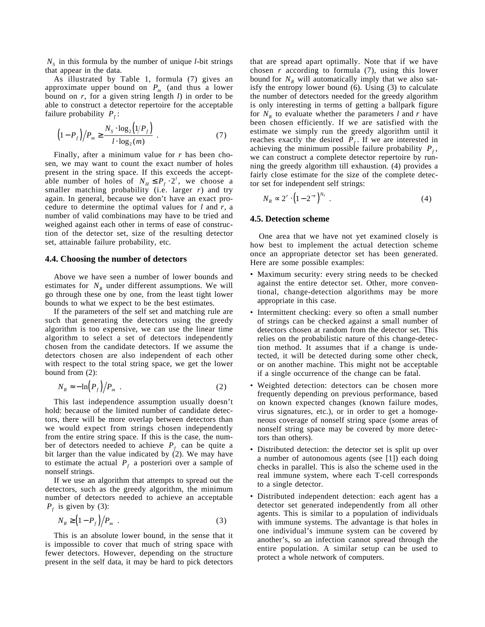$N<sub>S</sub>$  in this formula by the number of unique *l*-bit strings that appear in the data.

As illustrated by Table 1, formula (7) gives an approximate upper bound on *P<sup>m</sup>* (and thus a lower bound on *r,* for a given string length *l*) in order to be able to construct a detector repertoire for the acceptable failure probability  $P_f$ :

$$
(1 - P_f)/P_m \ge \frac{N_s \cdot \log_2(1/P_f)}{l \cdot \log_2(m)}\ . \tag{7}
$$

Finally, after a minimum value for *r* has been chosen, we may want to count the exact number of holes present in the string space. If this exceeds the acceptable number of holes of  $N_H \le P_f \cdot 2^l$ , we choose a smaller matching probability (i.e. larger *r*) and try again. In general, because we don't have an exact procedure to determine the optimal values for *l* and *r*, a number of valid combinations may have to be tried and weighed against each other in terms of ease of construction of the detector set, size of the resulting detector set, attainable failure probability, etc.

### **4.4. Choosing the number of detectors**

Above we have seen a number of lower bounds and estimates for  $N_R$  under different assumptions. We will go through these one by one, from the least tight lower bounds to what we expect to be the best estimates.

If the parameters of the self set and matching rule are such that generating the detectors using the greedy algorithm is too expensive, we can use the linear time algorithm to select a set of detectors independently chosen from the candidate detectors. If we assume the detectors chosen are also independent of each other with respect to the total string space, we get the lower bound from (2):

$$
N_R \approx -\ln\left(P_f\right)/P_m\tag{2}
$$

This last independence assumption usually doesn't hold: because of the limited number of candidate detectors, there will be more overlap between detectors than we would expect from strings chosen independently from the entire string space. If this is the case, the number of detectors needed to achieve  $P_f$  can be quite a bit larger than the value indicated by  $(2)$ . We may have to estimate the actual  $P_f$  a posteriori over a sample of nonself strings.

If we use an algorithm that attempts to spread out the detectors, such as the greedy algorithm, the minimum number of detectors needed to achieve an acceptable  $P_f$  is given by (3):

$$
N_R \ge \left(1 - P_f\right) \bigg/ P_m \quad . \tag{3}
$$

This is an absolute lower bound, in the sense that it is impossible to cover that much of string space with fewer detectors. However, depending on the structure present in the self data, it may be hard to pick detectors

that are spread apart optimally. Note that if we have chosen *r* according to formula (7), using this lower bound for  $N_R$  will automatically imply that we also satisfy the entropy lower bound (6). Using (3) to calculate the number of detectors needed for the greedy algorithm is only interesting in terms of getting a ballpark figure for  $N_R$  to evaluate whether the parameters *l* and *r* have been chosen efficiently. If we are satisfied with the estimate we simply run the greedy algorithm until it reaches exactly the desired  $P_f$ . If we are interested in achieving the minimum possible failure probability  $P_f$ , we can construct a complete detector repertoire by running the greedy algorithm till exhaustion. (4) provides a fairly close estimate for the size of the complete detector set for independent self strings:

$$
N_R \propto 2^r \cdot \left(1 - 2^{-r}\right)^{N_s} \tag{4}
$$

#### **4.5. Detection scheme**

One area that we have not yet examined closely is how best to implement the actual detection scheme once an appropriate detector set has been generated. Here are some possible examples:

- Maximum security: every string needs to be checked against the entire detector set. Other, more conventional, change-detection algorithms may be more appropriate in this case.
- Intermittent checking: every so often a small number of strings can be checked against a small number of detectors chosen at random from the detector set. This relies on the probabilistic nature of this change-detection method. It assumes that if a change is undetected, it will be detected during some other check, or on another machine. This might not be acceptable if a single occurrence of the change can be fatal.
- Weighted detection: detectors can be chosen more frequently depending on previous performance, based on known expected changes (known failure modes, virus signatures, etc.), or in order to get a homogeneous coverage of nonself string space (some areas of nonself string space may be covered by more detectors than others).
- Distributed detection: the detector set is split up over a number of autonomous agents (see [1]) each doing checks in parallel. This is also the scheme used in the real immune system, where each T-cell corresponds to a single detector.
- Distributed independent detection: each agent has a detector set generated independently from all other agents. This is similar to a population of individuals with immune systems. The advantage is that holes in one individual's immune system can be covered by another's, so an infection cannot spread through the entire population. A similar setup can be used to protect a whole network of computers.